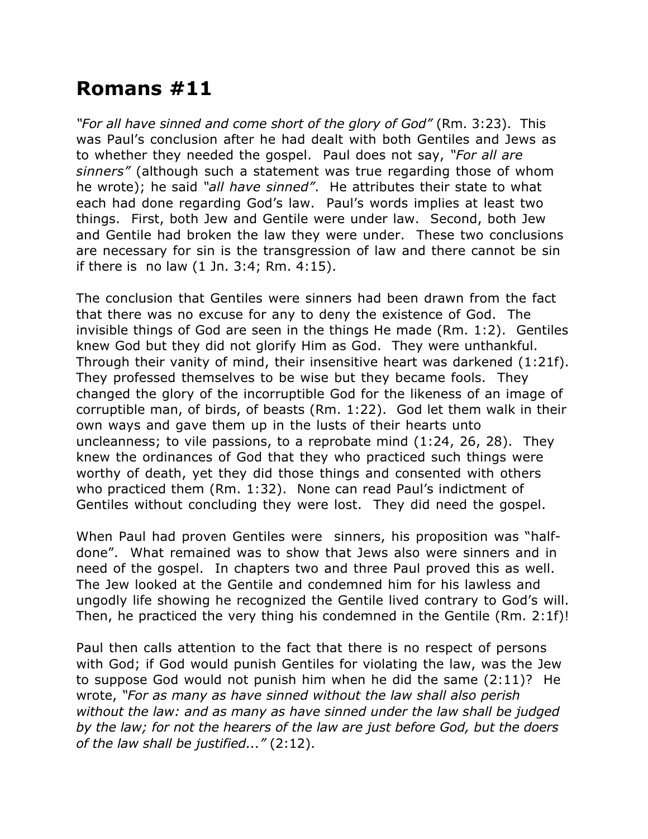## **Romans #11**

*"For all have sinned and come short of the glory of God"* (Rm. 3:23). This was Paul's conclusion after he had dealt with both Gentiles and Jews as to whether they needed the gospel. Paul does not say, *"For all are sinners"* (although such a statement was true regarding those of whom he wrote); he said *"all have sinned"*. He attributes their state to what each had done regarding God's law. Paul's words implies at least two things. First, both Jew and Gentile were under law. Second, both Jew and Gentile had broken the law they were under. These two conclusions are necessary for sin is the transgression of law and there cannot be sin if there is no law (1 Jn. 3:4; Rm. 4:15).

The conclusion that Gentiles were sinners had been drawn from the fact that there was no excuse for any to deny the existence of God. The invisible things of God are seen in the things He made (Rm. 1:2). Gentiles knew God but they did not glorify Him as God. They were unthankful. Through their vanity of mind, their insensitive heart was darkened (1:21f). They professed themselves to be wise but they became fools. They changed the glory of the incorruptible God for the likeness of an image of corruptible man, of birds, of beasts (Rm. 1:22). God let them walk in their own ways and gave them up in the lusts of their hearts unto uncleanness; to vile passions, to a reprobate mind (1:24, 26, 28). They knew the ordinances of God that they who practiced such things were worthy of death, yet they did those things and consented with others who practiced them (Rm. 1:32). None can read Paul's indictment of Gentiles without concluding they were lost. They did need the gospel.

When Paul had proven Gentiles were sinners, his proposition was "halfdone". What remained was to show that Jews also were sinners and in need of the gospel. In chapters two and three Paul proved this as well. The Jew looked at the Gentile and condemned him for his lawless and ungodly life showing he recognized the Gentile lived contrary to God's will. Then, he practiced the very thing his condemned in the Gentile (Rm. 2:1f)!

Paul then calls attention to the fact that there is no respect of persons with God; if God would punish Gentiles for violating the law, was the Jew to suppose God would not punish him when he did the same (2:11)? He wrote, *"For as many as have sinned without the law shall also perish without the law: and as many as have sinned under the law shall be judged by the law; for not the hearers of the law are just before God, but the doers of the law shall be justified..."* (2:12).